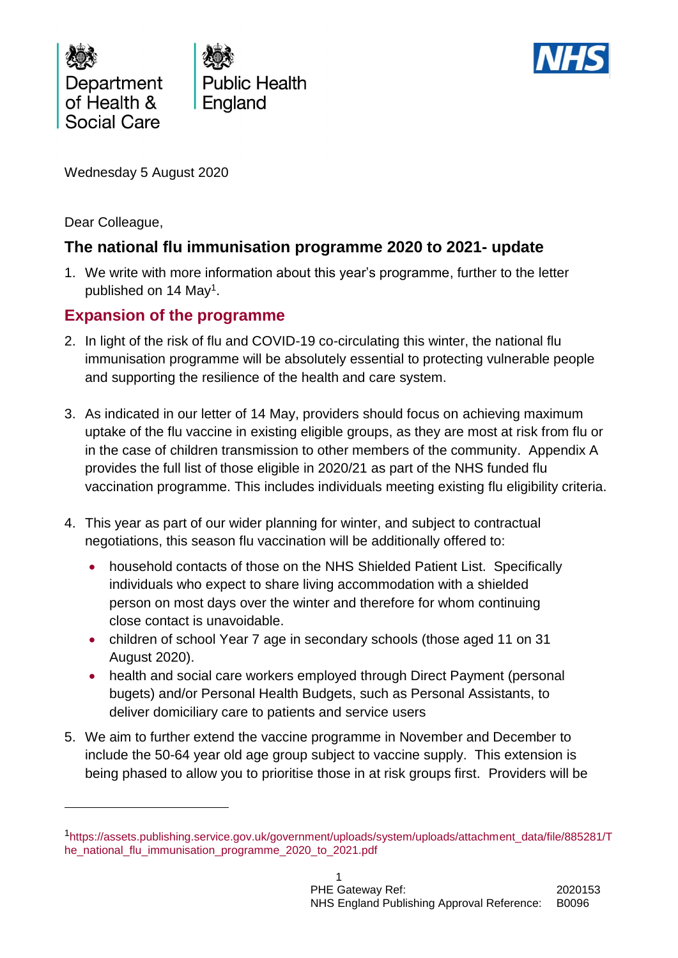

**Public Health** England



Wednesday 5 August 2020

Dear Colleague,

1

# **The national flu immunisation programme 2020 to 2021- update**

1. We write with more information about this year's programme, further to the letter published on 14 May<sup>1</sup>.

# **Expansion of the programme**

- 2. In light of the risk of flu and COVID-19 co-circulating this winter, the national flu immunisation programme will be absolutely essential to protecting vulnerable people and supporting the resilience of the health and care system.
- 3. As indicated in our letter of 14 May, providers should focus on achieving maximum uptake of the flu vaccine in existing eligible groups, as they are most at risk from flu or in the case of children transmission to other members of the community. Appendix A provides the full list of those eligible in 2020/21 as part of the NHS funded flu vaccination programme. This includes individuals meeting existing flu eligibility criteria.
- 4. This year as part of our wider planning for winter, and subject to contractual negotiations, this season flu vaccination will be additionally offered to:
	- household contacts of those on the NHS Shielded Patient List. Specifically individuals who expect to share living accommodation with a shielded person on most days over the winter and therefore for whom continuing close contact is unavoidable.
	- children of school Year 7 age in secondary schools (those aged 11 on 31 August 2020).
	- health and social care workers employed through Direct Payment (personal bugets) and/or Personal Health Budgets, such as Personal Assistants, to deliver domiciliary care to patients and service users
- 5. We aim to further extend the vaccine programme in November and December to include the 50-64 year old age group subject to vaccine supply. This extension is being phased to allow you to prioritise those in at risk groups first. Providers will be

<sup>1</sup>[https://assets.publishing.service.gov.uk/government/uploads/system/uploads/attachment\\_data/file/885281/T](https://assets.publishing.service.gov.uk/government/uploads/system/uploads/attachment_data/file/885281/The_national_flu_immunisation_programme_2020_to_2021.pdf) [he\\_national\\_flu\\_immunisation\\_programme\\_2020\\_to\\_2021.pdf](https://assets.publishing.service.gov.uk/government/uploads/system/uploads/attachment_data/file/885281/The_national_flu_immunisation_programme_2020_to_2021.pdf)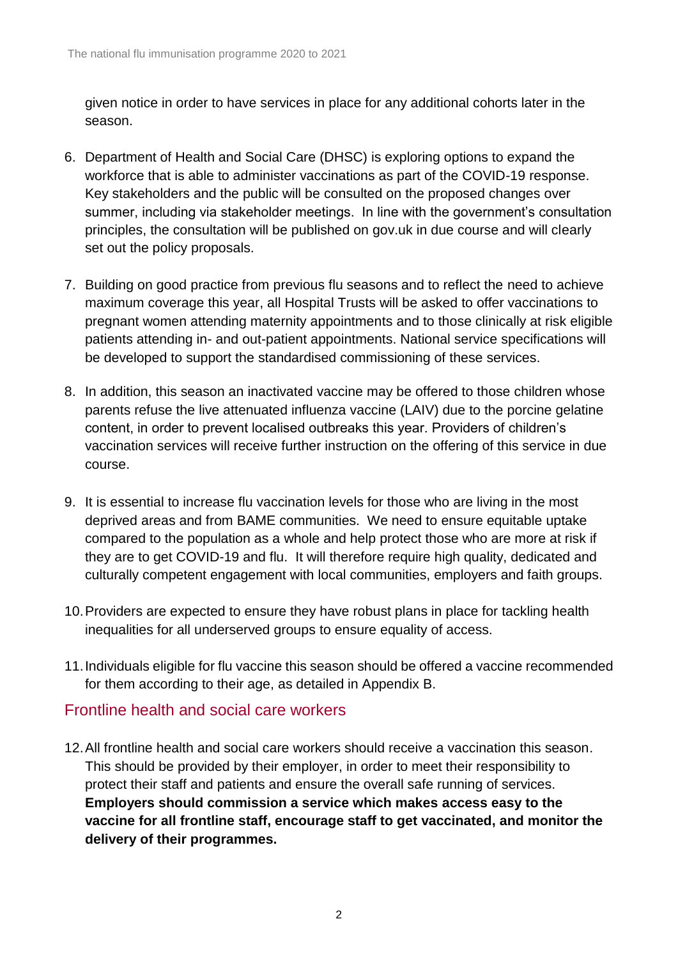given notice in order to have services in place for any additional cohorts later in the season.

- 6. Department of Health and Social Care (DHSC) is exploring options to expand the workforce that is able to administer vaccinations as part of the COVID-19 response. Key stakeholders and the public will be consulted on the proposed changes over summer, including via stakeholder meetings. In line with the government's consultation principles, the consultation will be published on gov.uk in due course and will clearly set out the policy proposals.
- 7. Building on good practice from previous flu seasons and to reflect the need to achieve maximum coverage this year, all Hospital Trusts will be asked to offer vaccinations to pregnant women attending maternity appointments and to those clinically at risk eligible patients attending in- and out-patient appointments. National service specifications will be developed to support the standardised commissioning of these services.
- 8. In addition, this season an inactivated vaccine may be offered to those children whose parents refuse the live attenuated influenza vaccine (LAIV) due to the porcine gelatine content, in order to prevent localised outbreaks this year. Providers of children's vaccination services will receive further instruction on the offering of this service in due course.
- 9. It is essential to increase flu vaccination levels for those who are living in the most deprived areas and from BAME communities. We need to ensure equitable uptake compared to the population as a whole and help protect those who are more at risk if they are to get COVID-19 and flu. It will therefore require high quality, dedicated and culturally competent engagement with local communities, employers and faith groups.
- 10.Providers are expected to ensure they have robust plans in place for tackling health inequalities for all underserved groups to ensure equality of access.
- 11.Individuals eligible for flu vaccine this season should be offered a vaccine recommended for them according to their age, as detailed in Appendix B.

#### Frontline health and social care workers

12.All frontline health and social care workers should receive a vaccination this season. This should be provided by their employer, in order to meet their responsibility to protect their staff and patients and ensure the overall safe running of services. **Employers should commission a service which makes access easy to the vaccine for all frontline staff, encourage staff to get vaccinated, and monitor the delivery of their programmes.**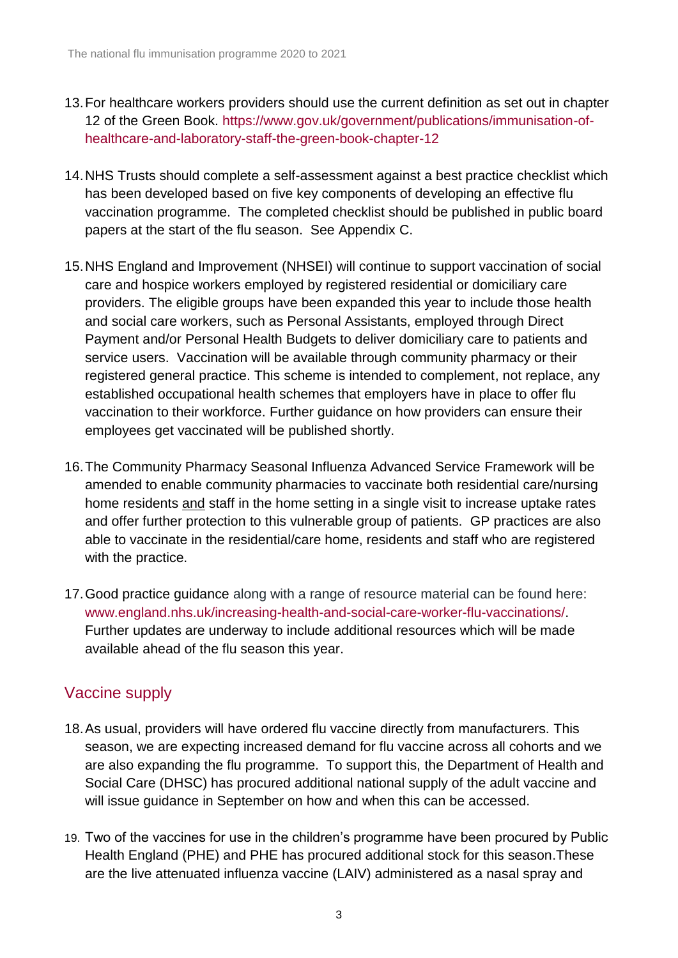- 13.For healthcare workers providers should use the current definition as set out in chapter 12 of the Green Book. [https://www.gov.uk/government/publications/immunisation-of](https://www.gov.uk/government/publications/immunisation-of-healthcare-and-laboratory-staff-the-green-book-chapter-12)[healthcare-and-laboratory-staff-the-green-book-chapter-12](https://www.gov.uk/government/publications/immunisation-of-healthcare-and-laboratory-staff-the-green-book-chapter-12)
- 14.NHS Trusts should complete a self-assessment against a best practice checklist which has been developed based on five key components of developing an effective flu vaccination programme. The completed checklist should be published in public board papers at the start of the flu season. See Appendix C.
- 15.NHS England and Improvement (NHSEI) will continue to support vaccination of social care and hospice workers employed by registered residential or domiciliary care providers. The eligible groups have been expanded this year to include those health and social care workers, such as Personal Assistants, employed through Direct Payment and/or Personal Health Budgets to deliver domiciliary care to patients and service users. Vaccination will be available through community pharmacy or their registered general practice. This scheme is intended to complement, not replace, any established occupational health schemes that employers have in place to offer flu vaccination to their workforce. Further guidance on how providers can ensure their employees get vaccinated will be published shortly.
- 16.The Community Pharmacy Seasonal Influenza Advanced Service Framework will be amended to enable community pharmacies to vaccinate both residential care/nursing home residents and staff in the home setting in a single visit to increase uptake rates and offer further protection to this vulnerable group of patients. GP practices are also able to vaccinate in the residential/care home, residents and staff who are registered with the practice.
- 17.Good practice guidance along with a range of resource material can be found here: [www.england.nhs.uk/increasing-health-and-social-care-worker-flu-vaccinations/.](http://www.england.nhs.uk/increasing-health-and-social-care-worker-flu-vaccinations/) Further updates are underway to include additional resources which will be made available ahead of the flu season this year.

# Vaccine supply

- 18.As usual, providers will have ordered flu vaccine directly from manufacturers. This season, we are expecting increased demand for flu vaccine across all cohorts and we are also expanding the flu programme. To support this, the Department of Health and Social Care (DHSC) has procured additional national supply of the adult vaccine and will issue guidance in September on how and when this can be accessed.
- 19. Two of the vaccines for use in the children's programme have been procured by Public Health England (PHE) and PHE has procured additional stock for this season.These are the live attenuated influenza vaccine (LAIV) administered as a nasal spray and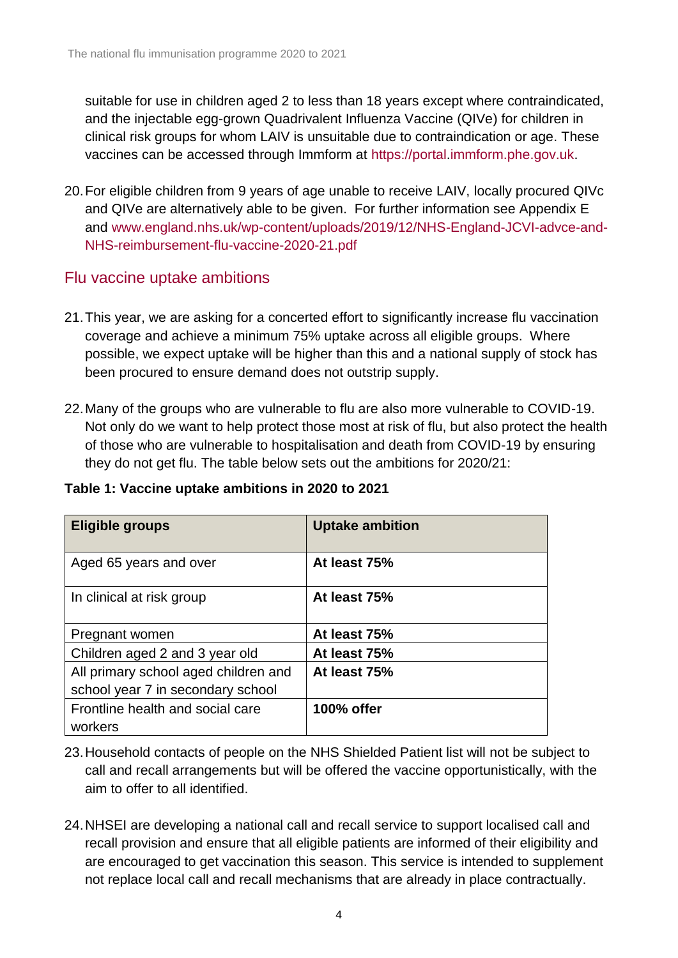suitable for use in children aged 2 to less than 18 years except where contraindicated, and the injectable egg-grown Quadrivalent Influenza Vaccine (QIVe) for children in clinical risk groups for whom LAIV is unsuitable due to contraindication or age. These vaccines can be accessed through Immform at [https://portal](https://portal/)[.immform.phe.gov.uk.](http://www.immform.phe.gov.uk/)

20.For eligible children from 9 years of age unable to receive LAIV, locally procured QIVc and QIVe are alternatively able to be given. For further information see Appendix E and [www.england.nhs.uk/wp-content/uploads/2019/12/NHS-England-JCVI-advce-and-](http://www.england.nhs.uk/wp-content/uploads/2019/12/NHS-England-JCVI-advce-and-NHS-reimbursement-flu-vaccine-2020-21.pdf)[NHS-reimbursement-flu-vaccine-2020-21.pdf](http://www.england.nhs.uk/wp-content/uploads/2019/12/NHS-England-JCVI-advce-and-NHS-reimbursement-flu-vaccine-2020-21.pdf)

### Flu vaccine uptake ambitions

- 21.This year, we are asking for a concerted effort to significantly increase flu vaccination coverage and achieve a minimum 75% uptake across all eligible groups. Where possible, we expect uptake will be higher than this and a national supply of stock has been procured to ensure demand does not outstrip supply.
- 22.Many of the groups who are vulnerable to flu are also more vulnerable to COVID-19. Not only do we want to help protect those most at risk of flu, but also protect the health of those who are vulnerable to hospitalisation and death from COVID-19 by ensuring they do not get flu. The table below sets out the ambitions for 2020/21:

| Table 1: Vaccine uptake ambitions in 2020 to 2021 |  |  |  |  |  |
|---------------------------------------------------|--|--|--|--|--|
|---------------------------------------------------|--|--|--|--|--|

| Eligible groups                             | <b>Uptake ambition</b> |
|---------------------------------------------|------------------------|
| Aged 65 years and over                      | At least 75%           |
| In clinical at risk group                   | At least 75%           |
| Pregnant women                              | At least 75%           |
| Children aged 2 and 3 year old              | At least 75%           |
| All primary school aged children and        | At least 75%           |
| school year 7 in secondary school           |                        |
| Frontline health and social care<br>workers | 100% offer             |

23.Household contacts of people on the NHS Shielded Patient list will not be subject to call and recall arrangements but will be offered the vaccine opportunistically, with the aim to offer to all identified.

24.NHSEI are developing a national call and recall service to support localised call and recall provision and ensure that all eligible patients are informed of their eligibility and are encouraged to get vaccination this season. This service is intended to supplement not replace local call and recall mechanisms that are already in place contractually.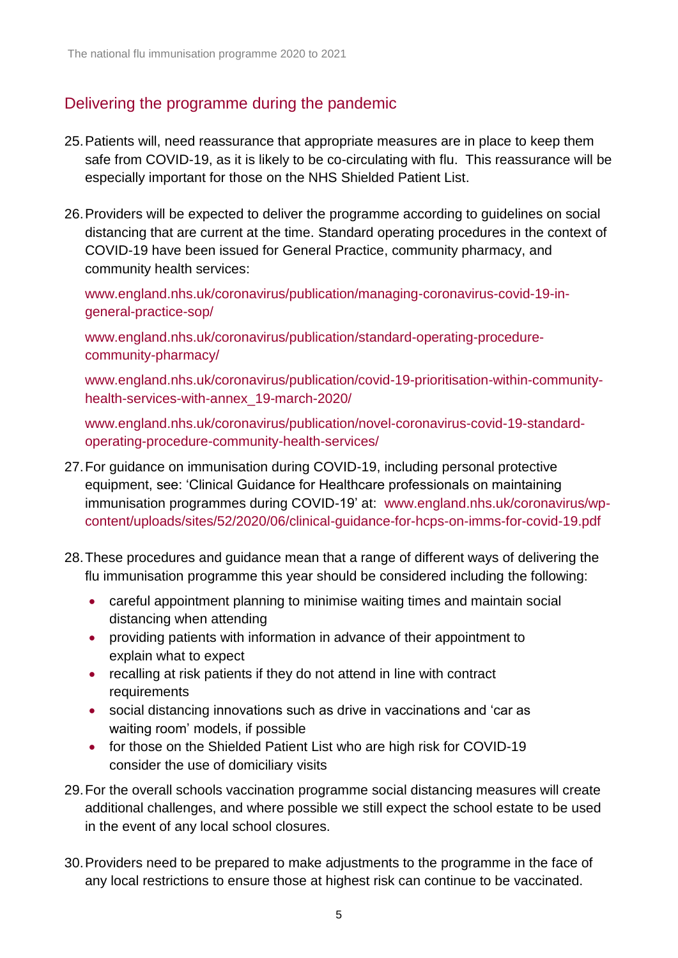## Delivering the programme during the pandemic

- 25.Patients will, need reassurance that appropriate measures are in place to keep them safe from COVID-19, as it is likely to be co-circulating with flu. This reassurance will be especially important for those on the NHS Shielded Patient List.
- 26.Providers will be expected to deliver the programme according to guidelines on social distancing that are current at the time. Standard operating procedures in the context of COVID-19 have been issued for General Practice, community pharmacy, and community health services:

[www.england.nhs.uk/coronavirus/publication/managing-coronavirus-covid-19-in](http://www.england.nhs.uk/coronavirus/publication/managing-coronavirus-covid-19-in-general-practice-sop/)[general-practice-sop/](http://www.england.nhs.uk/coronavirus/publication/managing-coronavirus-covid-19-in-general-practice-sop/)

[www.england.nhs.uk/coronavirus/publication/standard-operating-procedure](http://www.england.nhs.uk/coronavirus/publication/standard-operating-procedure-community-pharmacy/)[community-pharmacy/](http://www.england.nhs.uk/coronavirus/publication/standard-operating-procedure-community-pharmacy/)

[www.england.nhs.uk/coronavirus/publication/covid-19-prioritisation-within-community](http://www.england.nhs.uk/coronavirus/publication/covid-19-prioritisation-within-community-health-services-with-annex_19-march-2020/)[health-services-with-annex\\_19-march-2020/](http://www.england.nhs.uk/coronavirus/publication/covid-19-prioritisation-within-community-health-services-with-annex_19-march-2020/)

[www.england.nhs.uk/coronavirus/publication/novel-coronavirus-covid-19-standard](http://www.england.nhs.uk/coronavirus/publication/novel-coronavirus-covid-19-standard-operating-procedure-community-health-services/)[operating-procedure-community-health-services/](http://www.england.nhs.uk/coronavirus/publication/novel-coronavirus-covid-19-standard-operating-procedure-community-health-services/)

- 27.For guidance on immunisation during COVID-19, including personal protective equipment, see: 'Clinical Guidance for Healthcare professionals on maintaining immunisation programmes during COVID-19' at: [www.england.nhs.uk/coronavirus/wp](http://www.england.nhs.uk/coronavirus/wp-content/uploads/sites/52/2020/06/clinical-guidance-for-hcps-on-imms-for-covid-19.pdf)[content/uploads/sites/52/2020/06/clinical-guidance-for-hcps-on-imms-for-covid-19.pdf](http://www.england.nhs.uk/coronavirus/wp-content/uploads/sites/52/2020/06/clinical-guidance-for-hcps-on-imms-for-covid-19.pdf)
- 28.These procedures and guidance mean that a range of different ways of delivering the flu immunisation programme this year should be considered including the following:
	- careful appointment planning to minimise waiting times and maintain social distancing when attending
	- providing patients with information in advance of their appointment to explain what to expect
	- recalling at risk patients if they do not attend in line with contract requirements
	- social distancing innovations such as drive in vaccinations and 'car as waiting room' models, if possible
	- for those on the Shielded Patient List who are high risk for COVID-19 consider the use of domiciliary visits
- 29.For the overall schools vaccination programme social distancing measures will create additional challenges, and where possible we still expect the school estate to be used in the event of any local school closures.
- 30.Providers need to be prepared to make adjustments to the programme in the face of any local restrictions to ensure those at highest risk can continue to be vaccinated.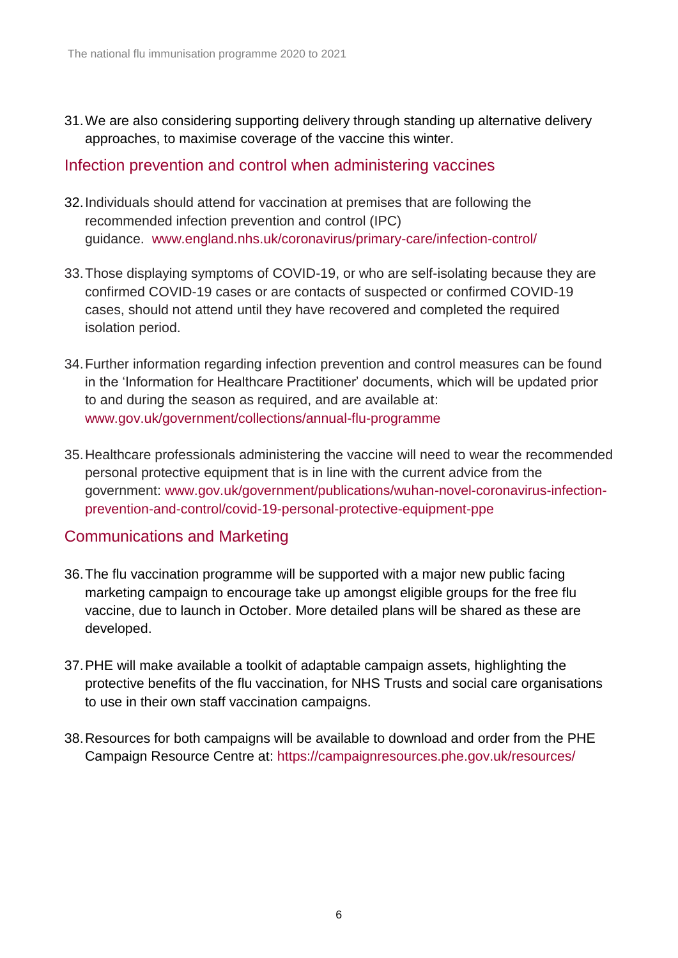31.We are also considering supporting delivery through standing up alternative delivery approaches, to maximise coverage of the vaccine this winter.

#### Infection prevention and control when administering vaccines

- 32.Individuals should attend for vaccination at premises that are following the recommended infection prevention and control (IPC) guidance. [www.england.nhs.uk/coronavirus/primary-care/infection-control/](http://www.england.nhs.uk/coronavirus/primary-care/infection-control/)
- 33.Those displaying symptoms of COVID-19, or who are self-isolating because they are confirmed COVID-19 cases or are contacts of suspected or confirmed COVID-19 cases, should not attend until they have recovered and completed the required isolation period.
- 34.Further information regarding infection prevention and control measures can be found in the 'Information for Healthcare Practitioner' documents, which will be updated prior to and during the season as required, and are available at: [www.gov.uk/government/collections/annual-flu-programme](http://www.gov.uk/government/collections/annual-flu-programme)
- 35.Healthcare professionals administering the vaccine will need to wear the recommended personal protective equipment that is in line with the current advice from the government: [www.gov.uk/government/publications/wuhan-novel-coronavirus-infection](http://www.gov.uk/government/publications/wuhan-novel-coronavirus-infection-prevention-and-control/covid-19-personal-protective-equipment-ppe)[prevention-and-control/covid-19-personal-protective-equipment-ppe](http://www.gov.uk/government/publications/wuhan-novel-coronavirus-infection-prevention-and-control/covid-19-personal-protective-equipment-ppe)

#### Communications and Marketing

- 36.The flu vaccination programme will be supported with a major new public facing marketing campaign to encourage take up amongst eligible groups for the free flu vaccine, due to launch in October. More detailed plans will be shared as these are developed.
- 37.PHE will make available a toolkit of adaptable campaign assets, highlighting the protective benefits of the flu vaccination, for NHS Trusts and social care organisations to use in their own staff vaccination campaigns.
- 38.Resources for both campaigns will be available to download and order from the PHE Campaign Resource Centre at:<https://campaignresources.phe.gov.uk/resources/>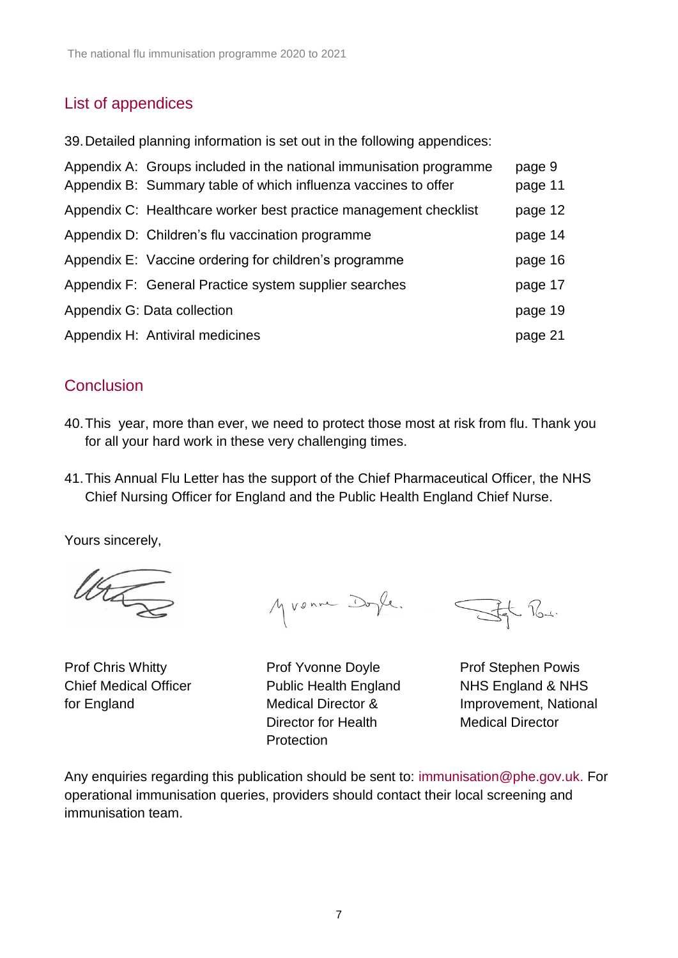## List of appendices

39.Detailed planning information is set out in the following appendices:

| Appendix A: Groups included in the national immunisation programme<br>Appendix B: Summary table of which influenza vaccines to offer | page 9<br>page 11 |
|--------------------------------------------------------------------------------------------------------------------------------------|-------------------|
| Appendix C: Healthcare worker best practice management checklist                                                                     | page 12           |
| Appendix D: Children's flu vaccination programme                                                                                     | page 14           |
| Appendix E: Vaccine ordering for children's programme                                                                                | page 16           |
| Appendix F: General Practice system supplier searches                                                                                | page 17           |
| Appendix G: Data collection                                                                                                          | page 19           |
| Appendix H: Antiviral medicines                                                                                                      | page 21           |
|                                                                                                                                      |                   |

### **Conclusion**

- 40.This year, more than ever, we need to protect those most at risk from flu. Thank you for all your hard work in these very challenging times.
- 41.This Annual Flu Letter has the support of the Chief Pharmaceutical Officer, the NHS Chief Nursing Officer for England and the Public Health England Chief Nurse.

Yours sincerely,

WE

Myvenne Doyle.

Prof Chris Whitty **Prof Yvonne Doyle** Prof Stephen Powis Chief Medical Officer Public Health England NHS England & NHS Director for Health Medical Director **Protection** 

Ff Ru.

for England Medical Director & Improvement, National

Any enquiries regarding this publication should be sent to: [immunisation@phe.gov.uk.](mailto:immunisation@phe.gov.uk) For operational immunisation queries, providers should contact their local screening and immunisation team.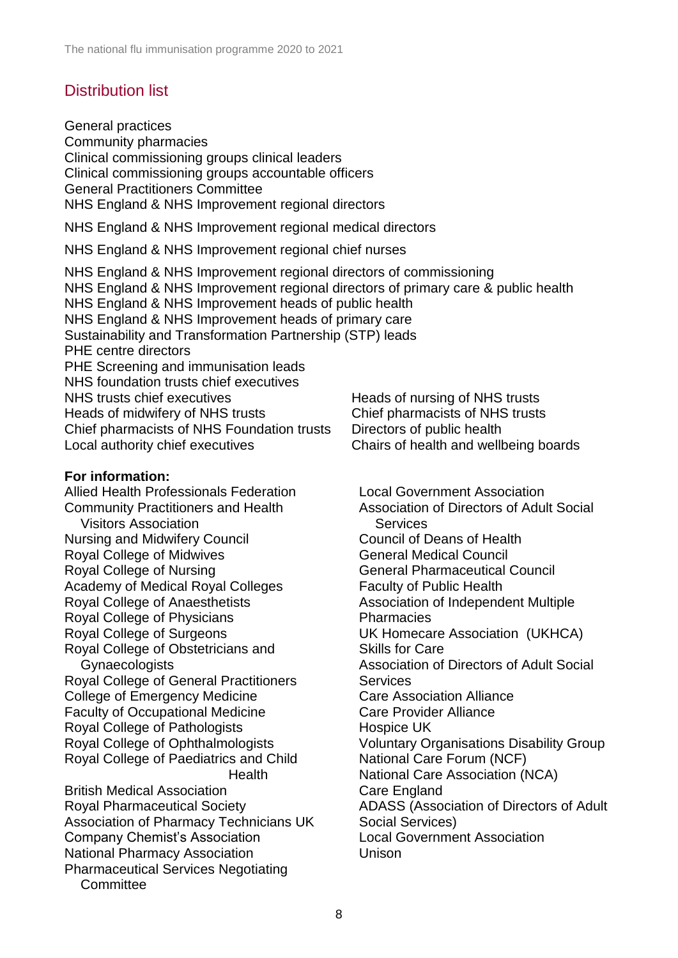# Distribution list

General practices Community pharmacies Clinical commissioning groups clinical leaders Clinical commissioning groups accountable officers General Practitioners Committee NHS England & NHS Improvement regional directors NHS England & NHS Improvement regional medical directors NHS England & NHS Improvement regional chief nurses NHS England & NHS Improvement regional directors of commissioning NHS England & NHS Improvement regional directors of primary care & public health NHS England & NHS Improvement heads of public health NHS England & NHS Improvement heads of primary care Sustainability and Transformation Partnership (STP) leads PHE centre directors PHE Screening and immunisation leads NHS foundation trusts chief executives NHS trusts chief executives Heads of nursing of NHS trusts Heads of midwifery of NHS trusts Chief pharmacists of NHS trusts Chief pharmacists of NHS Foundation trusts Directors of public health Local authority chief executives Chairs of health and wellbeing boards **For information:** Allied Health Professionals Federation Community Practitioners and Health Visitors Association [Nursing and Midwifery Council](http://www.google.co.uk/url?sa=t&rct=j&q=&esrc=s&frm=1&source=web&cd=1&cad=rja&ved=0CC0QFjAA&url=http%3A%2F%2Fwww.nmc-uk.org%2F&ei=M0ZlUtKiLaqV0AX6m4DYCQ&usg=AFQjCNEf8RE-C9nOgNMrii98Wbibao1EwQ) Royal College of Midwives Royal College of Nursing Academy of Medical Royal Colleges Royal College of Anaesthetists Royal College of Physicians Royal College of Surgeons Royal College of Obstetricians and **Gynaecologists** Royal College of General Practitioners College of Emergency Medicine Faculty of Occupational Medicine Royal College of Pathologists Royal College of Ophthalmologists Royal College of Paediatrics and Child Health British Medical Association Royal Pharmaceutical Society Association of Pharmacy Technicians UK Company Chemist's Association National Pharmacy Association Pharmaceutical Services Negotiating **Committee** Local Government Association Association of Directors of Adult Social **Services** Council of Deans of Health General Medical Council General Pharmaceutical Council Faculty of Public Health Association of Independent Multiple **Pharmacies** UK Homecare Association (UKHCA) Skills for Care Association of Directors of Adult Social **Services** Care Association Alliance Care Provider Alliance Hospice UK Voluntary Organisations Disability Group National Care Forum (NCF) National Care Association (NCA) Care England ADASS (Association of Directors of Adult Social Services) Local Government Association Unison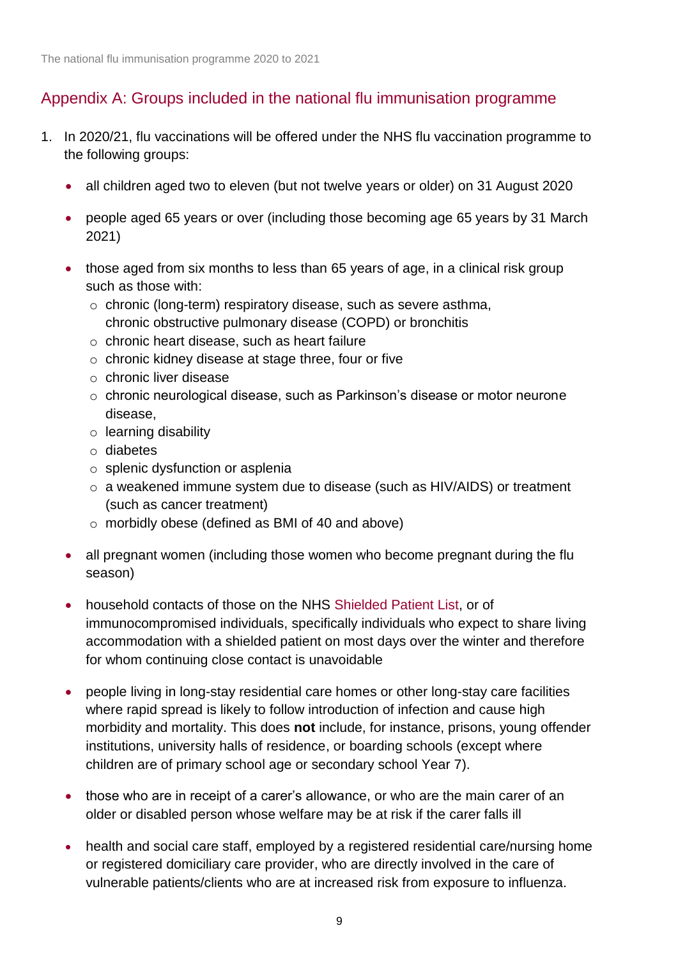## Appendix A: Groups included in the national flu immunisation programme

- 1. In 2020/21, flu vaccinations will be offered under the NHS flu vaccination programme to the following groups:
	- all children aged two to eleven (but not twelve years or older) on 31 August 2020
	- people aged 65 years or over (including those becoming age 65 years by 31 March 2021)
	- those aged from six months to less than 65 years of age, in a clinical risk group such as those with:
		- o chronic (long-term) respiratory disease, such as severe asthma, chronic obstructive pulmonary disease (COPD) or bronchitis
		- o chronic heart disease, such as heart failure
		- o chronic kidney disease at stage three, four or five
		- o chronic liver disease
		- o chronic neurological disease, such as Parkinson's disease or motor neurone disease,
		- $\circ$  learning disability
		- o diabetes
		- o splenic dysfunction or asplenia
		- o a weakened immune system due to disease (such as HIV/AIDS) or treatment (such as cancer treatment)
		- o morbidly obese (defined as BMI of 40 and above)
	- all pregnant women (including those women who become pregnant during the flu season)
	- household contacts of those on the NHS [Shielded Patient List,](https://digital.nhs.uk/coronavirus/shielded-patient-list) or of immunocompromised individuals, specifically individuals who expect to share living accommodation with a shielded patient on most days over the winter and therefore for whom continuing close contact is unavoidable
	- people living in long-stay residential care homes or other long-stay care facilities where rapid spread is likely to follow introduction of infection and cause high morbidity and mortality. This does **not** include, for instance, prisons, young offender institutions, university halls of residence, or boarding schools (except where children are of primary school age or secondary school Year 7).
	- those who are in receipt of a carer's allowance, or who are the main carer of an older or disabled person whose welfare may be at risk if the carer falls ill
	- health and social care staff, employed by a registered residential care/nursing home or registered domiciliary care provider, who are directly involved in the care of vulnerable patients/clients who are at increased risk from exposure to influenza.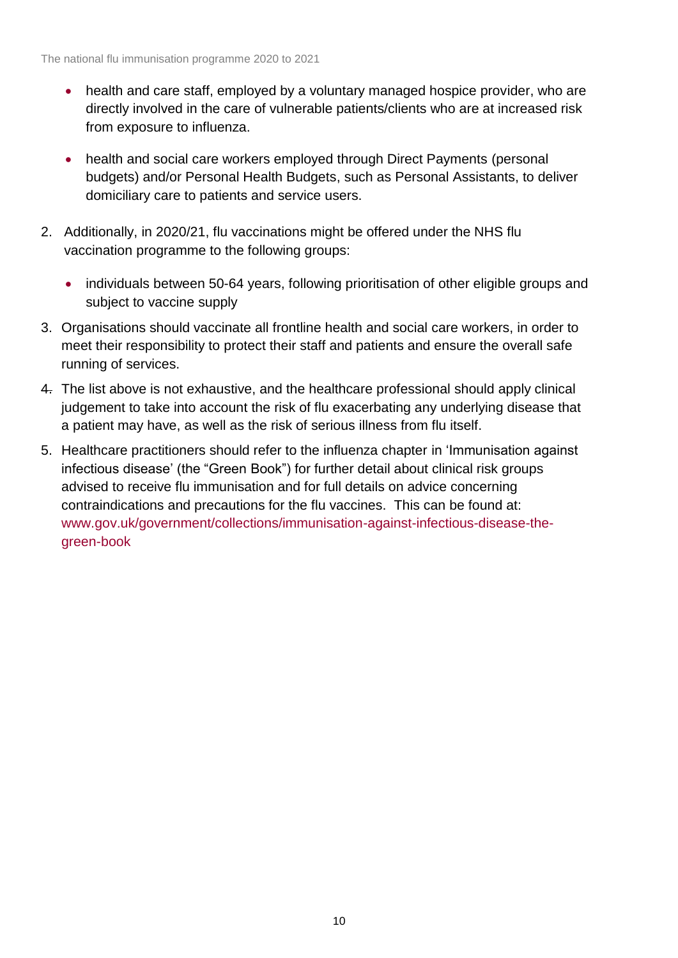- health and care staff, employed by a voluntary managed hospice provider, who are directly involved in the care of vulnerable patients/clients who are at increased risk from exposure to influenza.
- health and social care workers employed through Direct Payments (personal budgets) and/or Personal Health Budgets, such as Personal Assistants, to deliver domiciliary care to patients and service users.
- 2. Additionally, in 2020/21, flu vaccinations might be offered under the NHS flu vaccination programme to the following groups:
	- individuals between 50-64 years, following prioritisation of other eligible groups and subject to vaccine supply
- 3. Organisations should vaccinate all frontline health and social care workers, in order to meet their responsibility to protect their staff and patients and ensure the overall safe running of services.
- 4. The list above is not exhaustive, and the healthcare professional should apply clinical judgement to take into account the risk of flu exacerbating any underlying disease that a patient may have, as well as the risk of serious illness from flu itself.
- 5. Healthcare practitioners should refer to the influenza chapter in 'Immunisation against infectious disease' (the "Green Book") for further detail about clinical risk groups advised to receive flu immunisation and for full details on advice concerning contraindications and precautions for the flu vaccines. This can be found at: [www.gov.uk/government/collections/immunisation-against-infectious-disease-the](http://www.gov.uk/government/collections/immunisation-against-infectious-disease-the-green-book)[green-book](http://www.gov.uk/government/collections/immunisation-against-infectious-disease-the-green-book)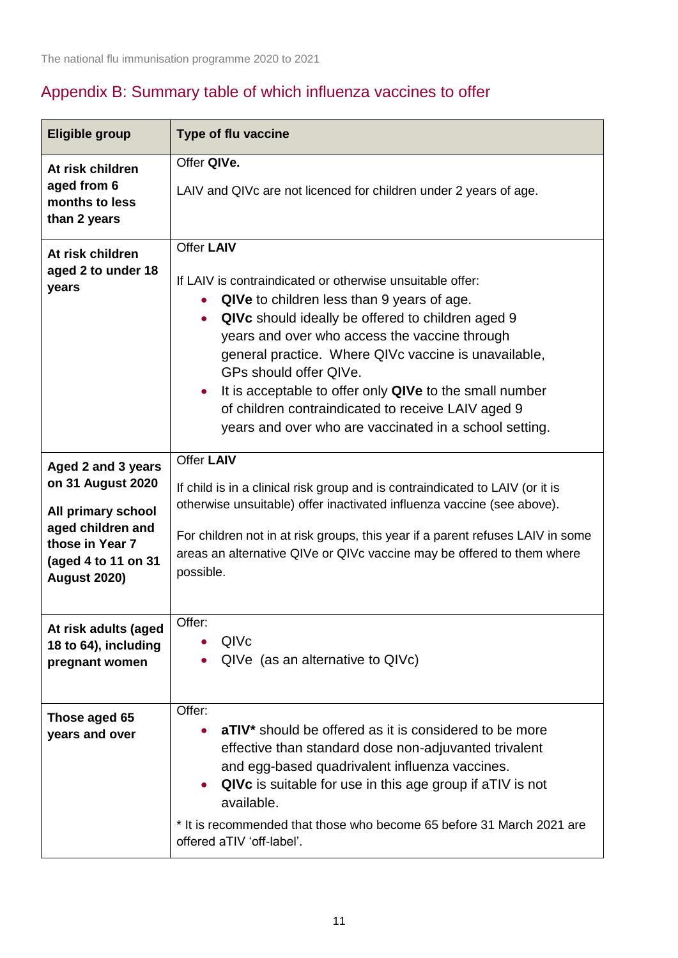# Appendix B: Summary table of which influenza vaccines to offer

| <b>Eligible group</b>                                                                                                                               | <b>Type of flu vaccine</b>                                                                                                                                                                                                                                                                                                                                                                                                                                                                                                             |  |
|-----------------------------------------------------------------------------------------------------------------------------------------------------|----------------------------------------------------------------------------------------------------------------------------------------------------------------------------------------------------------------------------------------------------------------------------------------------------------------------------------------------------------------------------------------------------------------------------------------------------------------------------------------------------------------------------------------|--|
| At risk children<br>aged from 6<br>months to less<br>than 2 years                                                                                   | Offer QIVe.<br>LAIV and QIVc are not licenced for children under 2 years of age.                                                                                                                                                                                                                                                                                                                                                                                                                                                       |  |
| At risk children<br>aged 2 to under 18<br>years                                                                                                     | <b>Offer LAIV</b><br>If LAIV is contraindicated or otherwise unsuitable offer:<br>QIVe to children less than 9 years of age.<br>$\bullet$<br>QIVc should ideally be offered to children aged 9<br>$\bullet$<br>years and over who access the vaccine through<br>general practice. Where QIVc vaccine is unavailable,<br>GPs should offer QIVe.<br>It is acceptable to offer only QIVe to the small number<br>$\bullet$<br>of children contraindicated to receive LAIV aged 9<br>years and over who are vaccinated in a school setting. |  |
| Aged 2 and 3 years<br>on 31 August 2020<br>All primary school<br>aged children and<br>those in Year 7<br>(aged 4 to 11 on 31<br><b>August 2020)</b> | Offer LAIV<br>If child is in a clinical risk group and is contraindicated to LAIV (or it is<br>otherwise unsuitable) offer inactivated influenza vaccine (see above).<br>For children not in at risk groups, this year if a parent refuses LAIV in some<br>areas an alternative QIVe or QIVc vaccine may be offered to them where<br>possible.                                                                                                                                                                                         |  |
| At risk adults (aged<br>18 to 64), including<br>pregnant women                                                                                      | Offer:<br>QIVc<br>QIVe (as an alternative to QIVc)                                                                                                                                                                                                                                                                                                                                                                                                                                                                                     |  |
| Those aged 65<br>years and over                                                                                                                     | Offer:<br>aTIV* should be offered as it is considered to be more<br>$\bullet$<br>effective than standard dose non-adjuvanted trivalent<br>and egg-based quadrivalent influenza vaccines.<br>QIVc is suitable for use in this age group if aTIV is not<br>$\bullet$<br>available.<br>* It is recommended that those who become 65 before 31 March 2021 are<br>offered aTIV 'off-label'.                                                                                                                                                 |  |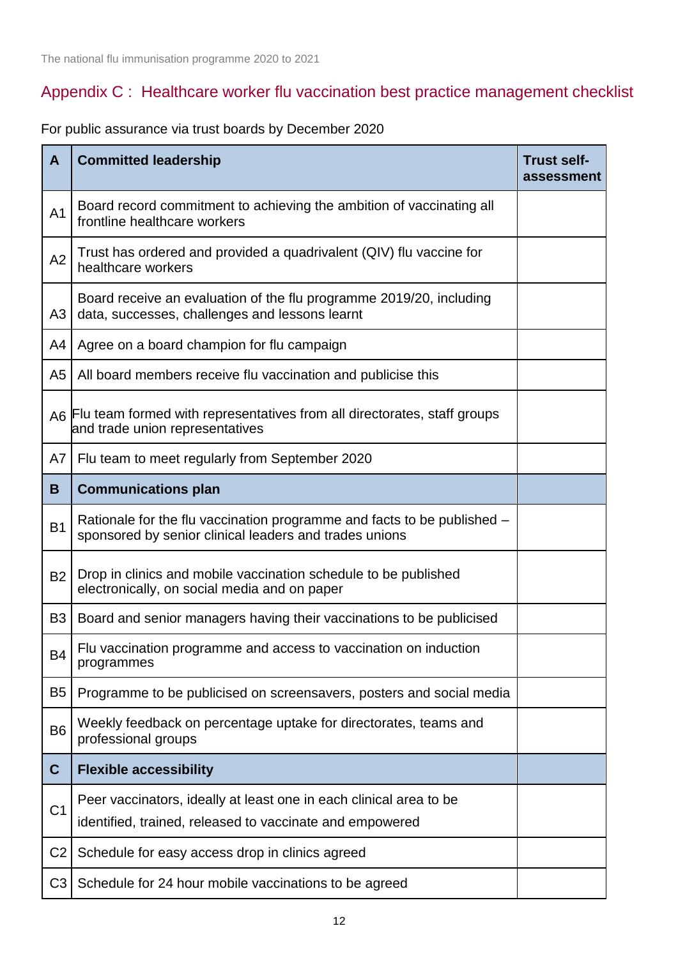# Appendix C : Healthcare worker flu vaccination best practice management checklist

For public assurance via trust boards by December 2020

| A              | <b>Committed leadership</b>                                                                                                       | <b>Trust self-</b><br>assessment |
|----------------|-----------------------------------------------------------------------------------------------------------------------------------|----------------------------------|
| A <sub>1</sub> | Board record commitment to achieving the ambition of vaccinating all<br>frontline healthcare workers                              |                                  |
| A2             | Trust has ordered and provided a quadrivalent (QIV) flu vaccine for<br>healthcare workers                                         |                                  |
| A <sub>3</sub> | Board receive an evaluation of the flu programme 2019/20, including<br>data, successes, challenges and lessons learnt             |                                  |
| A4             | Agree on a board champion for flu campaign                                                                                        |                                  |
| A <sub>5</sub> | All board members receive flu vaccination and publicise this                                                                      |                                  |
|                | A6 Flu team formed with representatives from all directorates, staff groups<br>and trade union representatives                    |                                  |
| A7             | Flu team to meet regularly from September 2020                                                                                    |                                  |
| B              | <b>Communications plan</b>                                                                                                        |                                  |
| <b>B1</b>      | Rationale for the flu vaccination programme and facts to be published -<br>sponsored by senior clinical leaders and trades unions |                                  |
| <b>B2</b>      | Drop in clinics and mobile vaccination schedule to be published<br>electronically, on social media and on paper                   |                                  |
| B <sub>3</sub> | Board and senior managers having their vaccinations to be publicised                                                              |                                  |
| <b>B4</b>      | Flu vaccination programme and access to vaccination on induction<br>programmes                                                    |                                  |
| B <sub>5</sub> | Programme to be publicised on screensavers, posters and social media                                                              |                                  |
| B <sub>6</sub> | Weekly feedback on percentage uptake for directorates, teams and<br>professional groups                                           |                                  |
| $\mathbf C$    | <b>Flexible accessibility</b>                                                                                                     |                                  |
| C <sub>1</sub> | Peer vaccinators, ideally at least one in each clinical area to be<br>identified, trained, released to vaccinate and empowered    |                                  |
| C <sub>2</sub> | Schedule for easy access drop in clinics agreed                                                                                   |                                  |
| C <sub>3</sub> | Schedule for 24 hour mobile vaccinations to be agreed                                                                             |                                  |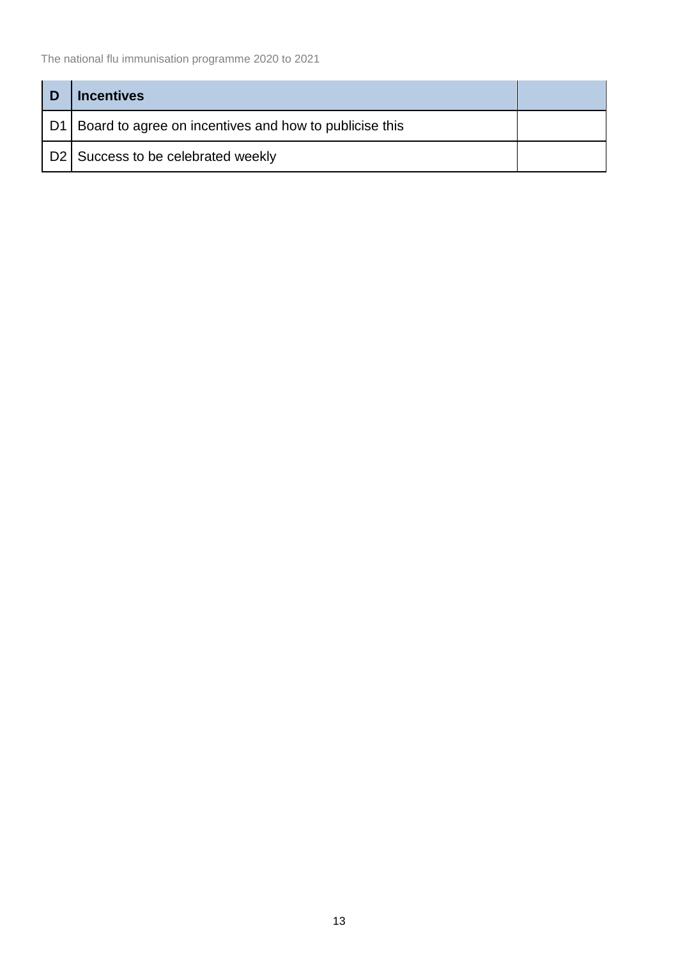| D  | <b>Incentives</b>                                      |  |
|----|--------------------------------------------------------|--|
| D1 | Board to agree on incentives and how to publicise this |  |
|    | D2 Success to be celebrated weekly                     |  |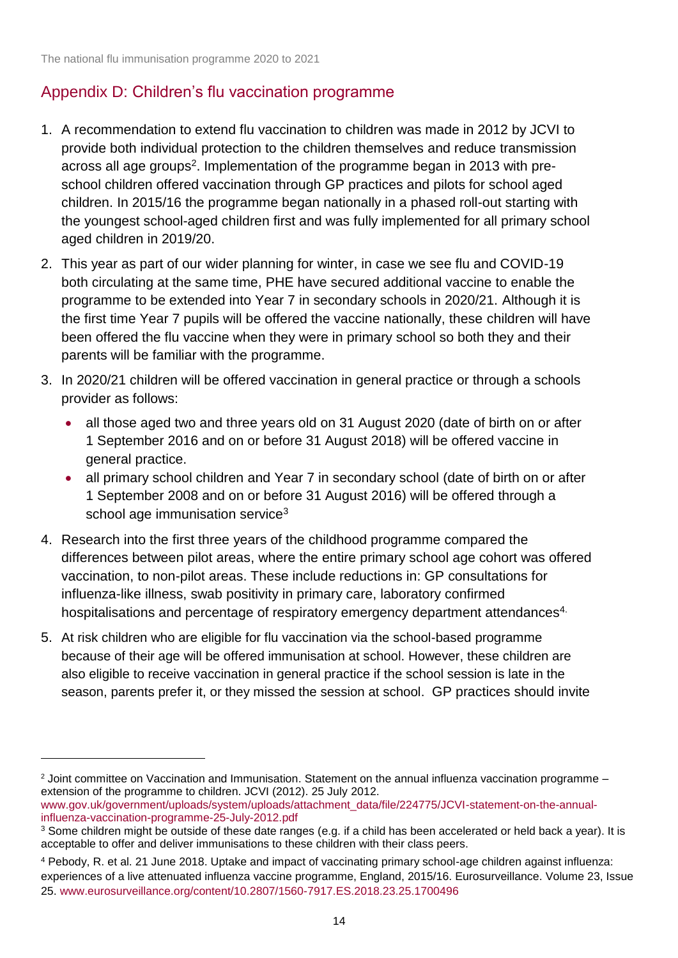1

# Appendix D: Children's flu vaccination programme

- 1. A recommendation to extend flu vaccination to children was made in 2012 by JCVI to provide both individual protection to the children themselves and reduce transmission across all age groups<sup>2</sup>. Implementation of the programme began in 2013 with preschool children offered vaccination through GP practices and pilots for school aged children. In 2015/16 the programme began nationally in a phased roll-out starting with the youngest school-aged children first and was fully implemented for all primary school aged children in 2019/20.
- 2. This year as part of our wider planning for winter, in case we see flu and COVID-19 both circulating at the same time, PHE have secured additional vaccine to enable the programme to be extended into Year 7 in secondary schools in 2020/21. Although it is the first time Year 7 pupils will be offered the vaccine nationally, these children will have been offered the flu vaccine when they were in primary school so both they and their parents will be familiar with the programme.
- 3. In 2020/21 children will be offered vaccination in general practice or through a schools provider as follows:
	- all those aged two and three years old on 31 August 2020 (date of birth on or after 1 September 2016 and on or before 31 August 2018) will be offered vaccine in general practice.
	- all primary school children and Year 7 in secondary school (date of birth on or after 1 September 2008 and on or before 31 August 2016) will be offered through a school age immunisation service<sup>3</sup>
- 4. Research into the first three years of the childhood programme compared the differences between pilot areas, where the entire primary school age cohort was offered vaccination, to non-pilot areas. These include reductions in: GP consultations for influenza-like illness, swab positivity in primary care, laboratory confirmed hospitalisations and percentage of respiratory emergency department attendances<sup>4.</sup>
- 5. At risk children who are eligible for flu vaccination via the school-based programme because of their age will be offered immunisation at school. However, these children are also eligible to receive vaccination in general practice if the school session is late in the season, parents prefer it, or they missed the session at school. GP practices should invite

<sup>2</sup> Joint committee on Vaccination and Immunisation. Statement on the annual influenza vaccination programme – extension of the programme to children. JCVI (2012). 25 July 2012.

[www.gov.uk/government/uploads/system/uploads/attachment\\_data/file/224775/JCVI-statement-on-the-annual](http://www.gov.uk/government/uploads/system/uploads/attachment_data/file/224775/JCVI-statement-on-the-annual-influenza-vaccination-programme-25-July-2012.pdf)[influenza-vaccination-programme-25-July-2012.pdf](http://www.gov.uk/government/uploads/system/uploads/attachment_data/file/224775/JCVI-statement-on-the-annual-influenza-vaccination-programme-25-July-2012.pdf)

<sup>&</sup>lt;sup>3</sup> Some children might be outside of these date ranges (e.g. if a child has been accelerated or held back a year). It is acceptable to offer and deliver immunisations to these children with their class peers.

<sup>4</sup> Pebody, R. et al. 21 June 2018. Uptake and impact of vaccinating primary school-age children against influenza: experiences of a live attenuated influenza vaccine programme, England, 2015/16. Eurosurveillance. Volume 23, Issue 25. [www.eurosurveillance.org/content/10.2807/1560-7917.ES.2018.23.25.1700496](http://www.eurosurveillance.org/content/10.2807/1560-7917.ES.2018.23.25.1700496)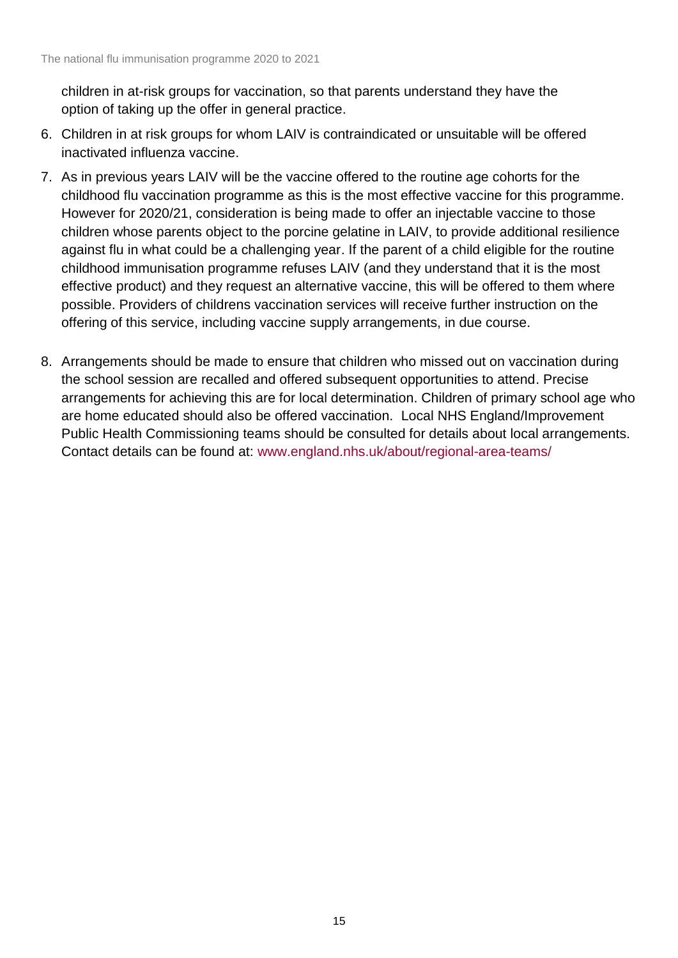children in at-risk groups for vaccination, so that parents understand they have the option of taking up the offer in general practice.

- 6. Children in at risk groups for whom LAIV is contraindicated or unsuitable will be offered inactivated influenza vaccine.
- 7. As in previous years LAIV will be the vaccine offered to the routine age cohorts for the childhood flu vaccination programme as this is the most effective vaccine for this programme. However for 2020/21, consideration is being made to offer an injectable vaccine to those children whose parents object to the porcine gelatine in LAIV, to provide additional resilience against flu in what could be a challenging year. If the parent of a child eligible for the routine childhood immunisation programme refuses LAIV (and they understand that it is the most effective product) and they request an alternative vaccine, this will be offered to them where possible. Providers of childrens vaccination services will receive further instruction on the offering of this service, including vaccine supply arrangements, in due course.
- 8. Arrangements should be made to ensure that children who missed out on vaccination during the school session are recalled and offered subsequent opportunities to attend. Precise arrangements for achieving this are for local determination. Children of primary school age who are home educated should also be offered vaccination. Local NHS England/Improvement Public Health Commissioning teams should be consulted for details about local arrangements. Contact details can be found at: [www.england.nhs.uk/about/regional-area-teams/](http://www.england.nhs.uk/about/regional-area-teams/)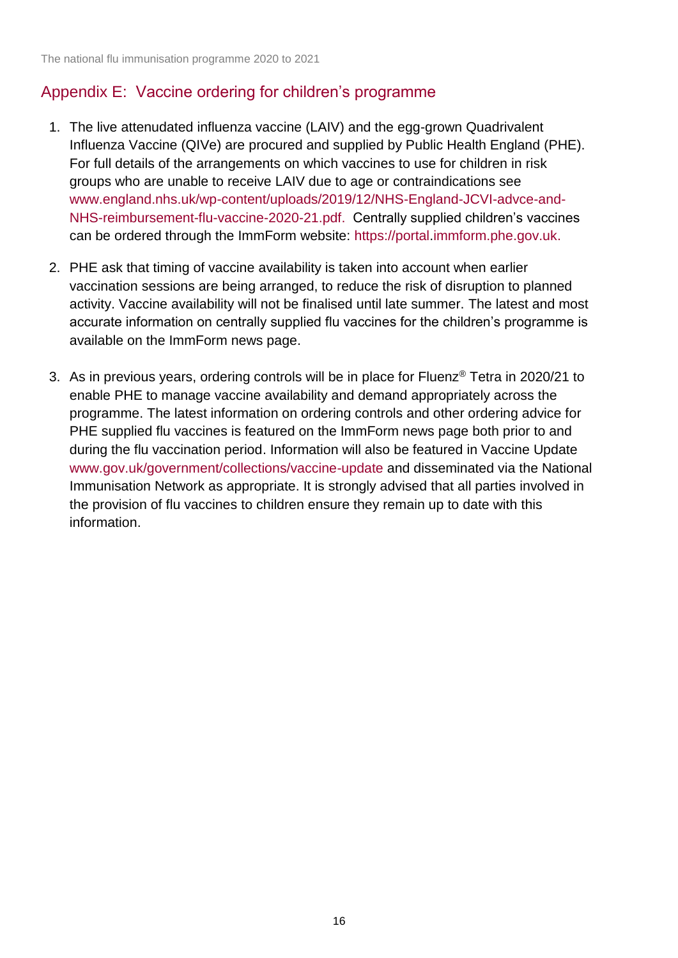# Appendix E: Vaccine ordering for children's programme

- 1. The live attenudated influenza vaccine (LAIV) and the egg-grown Quadrivalent Influenza Vaccine (QIVe) are procured and supplied by Public Health England (PHE). For full details of the arrangements on which vaccines to use for children in risk groups who are unable to receive LAIV due to age or contraindications see [www.england.nhs.uk/wp-content/uploads/2019/12/NHS-England-JCVI-advce-and-](http://www.england.nhs.uk/wp-content/uploads/2019/12/NHS-England-JCVI-advce-and-NHS-reimbursement-flu-vaccine-2020-21.pdf)[NHS-reimbursement-flu-vaccine-2020-21.pdf.](http://www.england.nhs.uk/wp-content/uploads/2019/12/NHS-England-JCVI-advce-and-NHS-reimbursement-flu-vaccine-2020-21.pdf) Centrally supplied children's vaccines can be ordered through the ImmForm website: [https://portal](https://portal/)[.immform.phe.gov.uk.](http://www.immform.phe.gov.uk/)
- 2. PHE ask that timing of vaccine availability is taken into account when earlier vaccination sessions are being arranged, to reduce the risk of disruption to planned activity. Vaccine availability will not be finalised until late summer. The latest and most accurate information on centrally supplied flu vaccines for the children's programme is available on the ImmForm news page.
- 3. As in previous years, ordering controls will be in place for Fluenz® Tetra in 2020/21 to enable PHE to manage vaccine availability and demand appropriately across the programme. The latest information on ordering controls and other ordering advice for PHE supplied flu vaccines is featured on the ImmForm news page both prior to and during the flu vaccination period. Information will also be featured in Vaccine Update [www.gov.uk/government/collections/vaccine-update](http://www.gov.uk/government/collections/vaccine-update) and disseminated via the National Immunisation Network as appropriate. It is strongly advised that all parties involved in the provision of flu vaccines to children ensure they remain up to date with this information.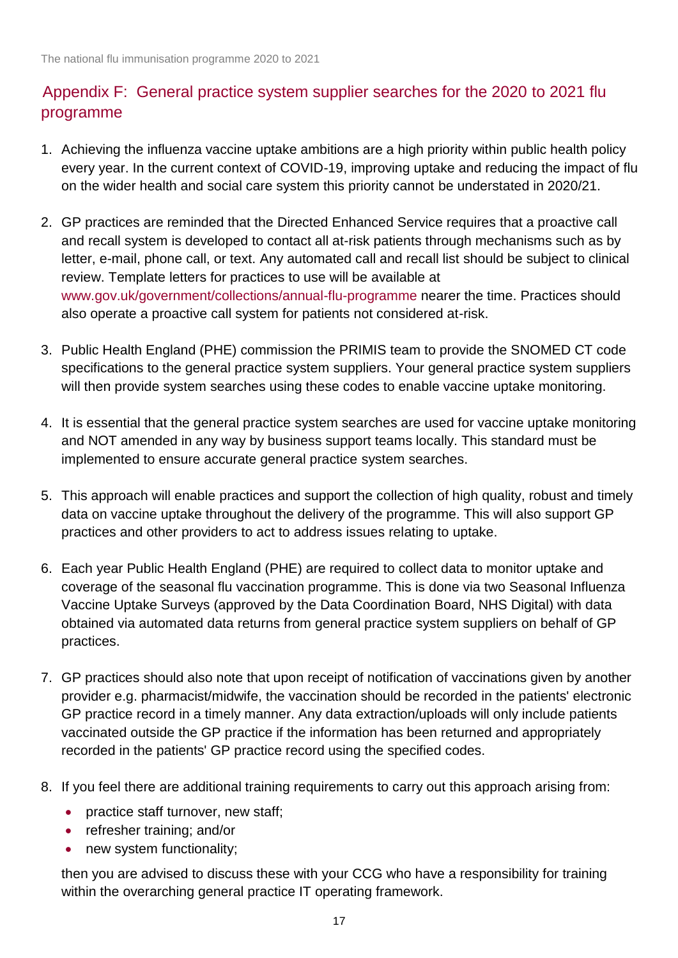# Appendix F: General practice system supplier searches for the 2020 to 2021 flu programme

- 1. Achieving the influenza vaccine uptake ambitions are a high priority within public health policy every year. In the current context of COVID-19, improving uptake and reducing the impact of flu on the wider health and social care system this priority cannot be understated in 2020/21.
- 2. GP practices are reminded that the Directed Enhanced Service requires that a proactive call and recall system is developed to contact all at-risk patients through mechanisms such as by letter, e-mail, phone call, or text. Any automated call and recall list should be subject to clinical review. Template letters for practices to use will be available at [www.gov.uk/government/collections/annual-flu-programme](http://www.gov.uk/government/collections/annual-flu-programme) nearer the time. Practices should also operate a proactive call system for patients not considered at-risk.
- 3. Public Health England (PHE) commission the PRIMIS team to provide the SNOMED CT code specifications to the general practice system suppliers. Your general practice system suppliers will then provide system searches using these codes to enable vaccine uptake monitoring.
- 4. It is essential that the general practice system searches are used for vaccine uptake monitoring and NOT amended in any way by business support teams locally. This standard must be implemented to ensure accurate general practice system searches.
- 5. This approach will enable practices and support the collection of high quality, robust and timely data on vaccine uptake throughout the delivery of the programme. This will also support GP practices and other providers to act to address issues relating to uptake.
- 6. Each year Public Health England (PHE) are required to collect data to monitor uptake and coverage of the seasonal flu vaccination programme. This is done via two Seasonal Influenza Vaccine Uptake Surveys (approved by the Data Coordination Board, NHS Digital) with data obtained via automated data returns from general practice system suppliers on behalf of GP practices.
- 7. GP practices should also note that upon receipt of notification of vaccinations given by another provider e.g. pharmacist/midwife, the vaccination should be recorded in the patients' electronic GP practice record in a timely manner. Any data extraction/uploads will only include patients vaccinated outside the GP practice if the information has been returned and appropriately recorded in the patients' GP practice record using the specified codes.
- 8. If you feel there are additional training requirements to carry out this approach arising from:
	- practice staff turnover, new staff;
	- refresher training; and/or
	- new system functionality;

then you are advised to discuss these with your CCG who have a responsibility for training within the overarching general practice IT operating framework.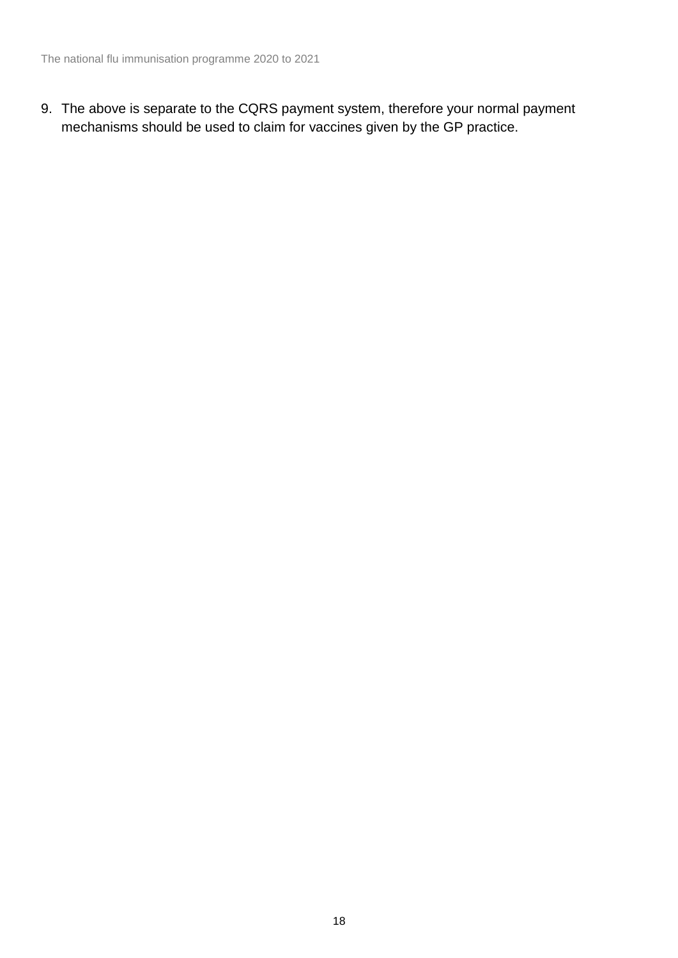9. The above is separate to the CQRS payment system, therefore your normal payment mechanisms should be used to claim for vaccines given by the GP practice.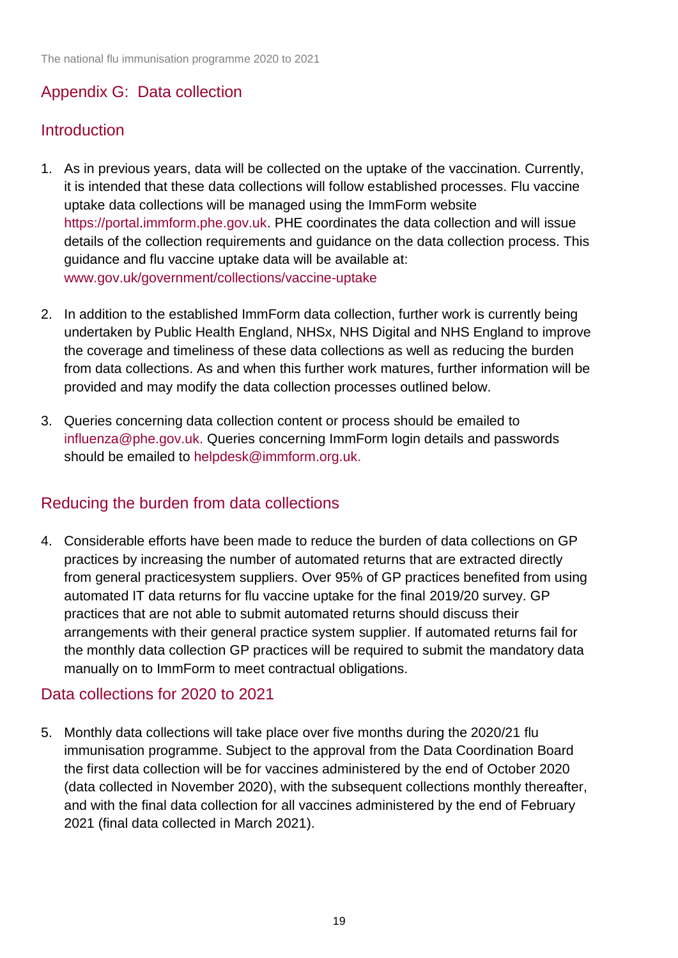# Appendix G: Data collection

# **Introduction**

- 1. As in previous years, data will be collected on the uptake of the vaccination. Currently, it is intended that these data collections will follow established processes. Flu vaccine uptake data collections will be managed using the ImmForm website [https://portal](https://portal/)[.immform.phe.gov.uk.](http://www.immform.phe.gov.uk/) PHE coordinates the data collection and will issue details of the collection requirements and guidance on the data collection process. This guidance and flu vaccine uptake data will be available at: [www.gov.uk/government/collections/vaccine-uptake](http://www.gov.uk/government/collections/vaccine-uptake)
- 2. In addition to the established ImmForm data collection, further work is currently being undertaken by Public Health England, NHSx, NHS Digital and NHS England to improve the coverage and timeliness of these data collections as well as reducing the burden from data collections. As and when this further work matures, further information will be provided and may modify the data collection processes outlined below.
- 3. Queries concerning data collection content or process should be emailed to [influenza@phe.gov.uk.](mailto:influenza@phe.gov.uk) Queries concerning ImmForm login details and passwords should be emailed to [helpdesk@immform.org.uk.](mailto:helpdesk@immform.org.uk)

# Reducing the burden from data collections

4. Considerable efforts have been made to reduce the burden of data collections on GP practices by increasing the number of automated returns that are extracted directly from general practicesystem suppliers. Over 95% of GP practices benefited from using automated IT data returns for flu vaccine uptake for the final 2019/20 survey. GP practices that are not able to submit automated returns should discuss their arrangements with their general practice system supplier. If automated returns fail for the monthly data collection GP practices will be required to submit the mandatory data manually on to ImmForm to meet contractual obligations.

### Data collections for 2020 to 2021

5. Monthly data collections will take place over five months during the 2020/21 flu immunisation programme. Subject to the approval from the Data Coordination Board the first data collection will be for vaccines administered by the end of October 2020 (data collected in November 2020), with the subsequent collections monthly thereafter, and with the final data collection for all vaccines administered by the end of February 2021 (final data collected in March 2021).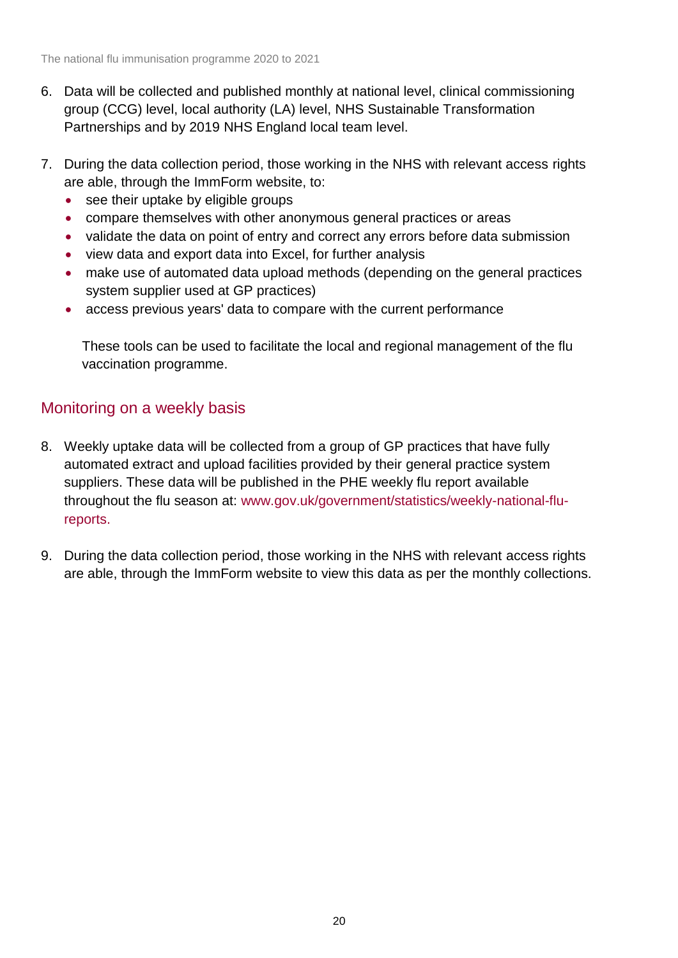- 6. Data will be collected and published monthly at national level, clinical commissioning group (CCG) level, local authority (LA) level, NHS Sustainable Transformation Partnerships and by 2019 NHS England local team level.
- 7. During the data collection period, those working in the NHS with relevant access rights are able, through the ImmForm website, to:
	- see their uptake by eligible groups
	- compare themselves with other anonymous general practices or areas
	- validate the data on point of entry and correct any errors before data submission
	- view data and export data into Excel, for further analysis
	- make use of automated data upload methods (depending on the general practices system supplier used at GP practices)
	- access previous years' data to compare with the current performance

These tools can be used to facilitate the local and regional management of the flu vaccination programme.

## Monitoring on a weekly basis

- 8. Weekly uptake data will be collected from a group of GP practices that have fully automated extract and upload facilities provided by their general practice system suppliers. These data will be published in the PHE weekly flu report available throughout the flu season at: [www.gov.uk/government/statistics/weekly-national-flu](http://www.gov.uk/government/statistics/weekly-national-flu-reports)[reports.](http://www.gov.uk/government/statistics/weekly-national-flu-reports)
- 9. During the data collection period, those working in the NHS with relevant access rights are able, through the ImmForm website to view this data as per the monthly collections.